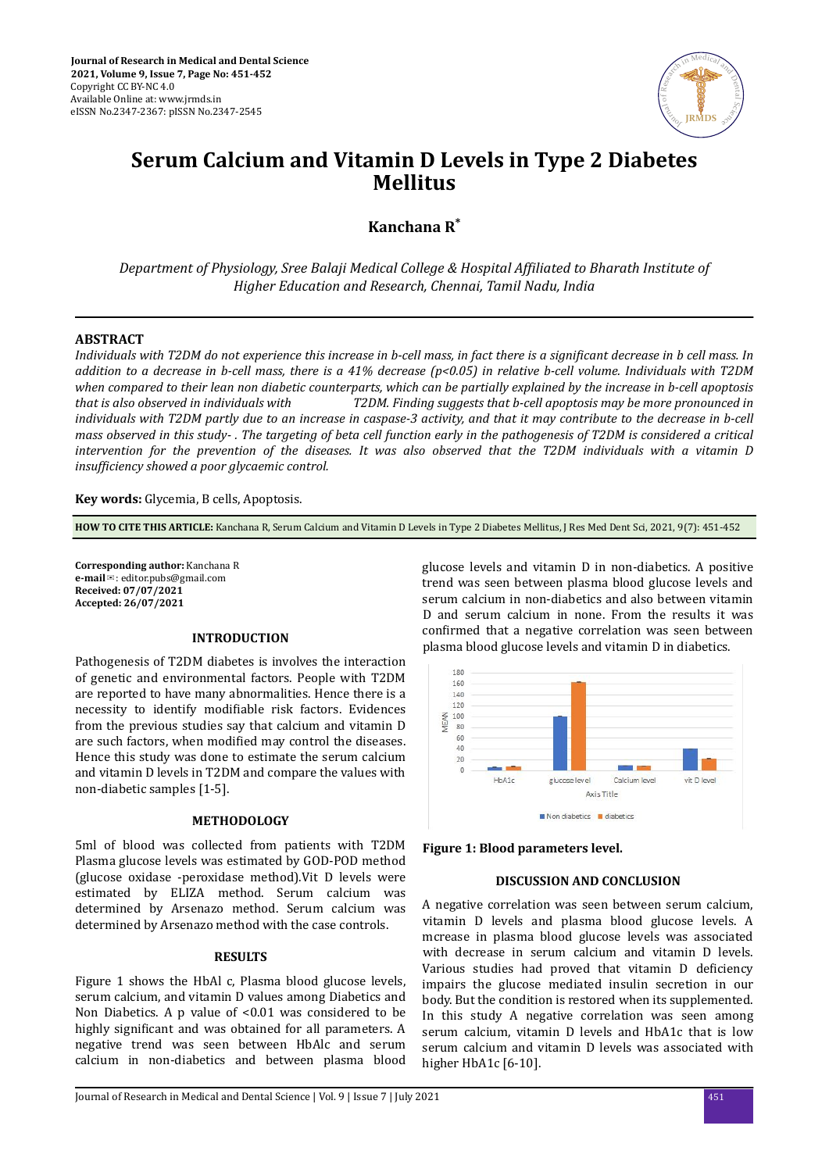

# **Serum Calcium and Vitamin D Levels in Type 2 Diabetes Mellitus**

**Kanchana R\***

*Department of Physiology, Sree Balaji Medical College & Hospital Affiliated to Bharath Institute of Higher Education and Research, Chennai, Tamil Nadu, India*

## **ABSTRACT**

*Individuals with T2DM do not experience this increase in b-cell mass, in fact there is a significant decrease in b cell mass. In addition to a decrease in b-cell mass, there is a 41% decrease (p<0.05) in relative b-cell volume. Individuals with T2DM when compared to their lean non diabetic counterparts, which can be partially explained by the increase in b-cell apoptosis that is also observed in individuals with T2DM. Finding suggests that b-cell apoptosis may be more pronounced in individuals with T2DM partly due to an increase in caspase-3 activity, and that it may contribute to the decrease in b-cell mass observed in this study- . The targeting of beta cell function early in the pathogenesis of T2DM is considered a critical intervention for the prevention of the diseases. It was also observed that the T2DM individuals with a vitamin D insufficiency showed a poor glycaemic control.* 

**Key words:** Glycemia, B cells, Apoptosis.

**HOW TO CITE THIS ARTICLE:** Kanchana R, Serum Calcium and Vitamin D Levels in Type 2 Diabetes Mellitus, J Res Med Dent Sci, 2021, 9(7): 451-452

**Corresponding author:** Kanchana R **e-mail**✉: editor.pubs@gmail.com **Received: 07/07/2021 Accepted: 26/07/2021** 

## **INTRODUCTION**

Pathogenesis of T2DM diabetes is involves the interaction of genetic and environmental factors. People with T2DM are reported to have many abnormalities. Hence there is a necessity to identify modifiable risk factors. Evidences from the previous studies say that calcium and vitamin D are such factors, when modified may control the diseases. Hence this study was done to estimate the serum calcium and vitamin D levels in T2DM and compare the values with non-diabetic samples [1-5].

### **METHODOLOGY**

5ml of blood was collected from patients with T2DM Plasma glucose levels was estimated by GOD-POD method (glucose oxidase -peroxidase method).Vit D levels were estimated by ELIZA method. Serum calcium was determined by Arsenazo method. Serum calcium was determined by Arsenazo method with the case controls.

#### **RESULTS**

Figure 1 shows the HbAl c, Plasma blood glucose levels, serum calcium, and vitamin D values among Diabetics and Non Diabetics. A p value of <0.01 was considered to be highly significant and was obtained for all parameters. A negative trend was seen between HbAlc and serum calcium in non-diabetics and between plasma blood glucose levels and vitamin D in non-diabetics. A positive trend was seen between plasma blood glucose levels and serum calcium in non-diabetics and also between vitamin D and serum calcium in none. From the results it was confirmed that a negative correlation was seen between plasma blood glucose levels and vitamin D in diabetics.



**Figure 1: Blood parameters level.**

## **DISCUSSION AND CONCLUSION**

A negative correlation was seen between serum calcium, vitamin D levels and plasma blood glucose levels. A mcrease in plasma blood glucose levels was associated with decrease in serum calcium and vitamin D levels. Various studies had proved that vitamin D deficiency impairs the glucose mediated insulin secretion in our body. But the condition is restored when its supplemented. In this study A negative correlation was seen among serum calcium, vitamin D levels and HbA1c that is low serum calcium and vitamin D levels was associated with higher HbA1c [6-10].